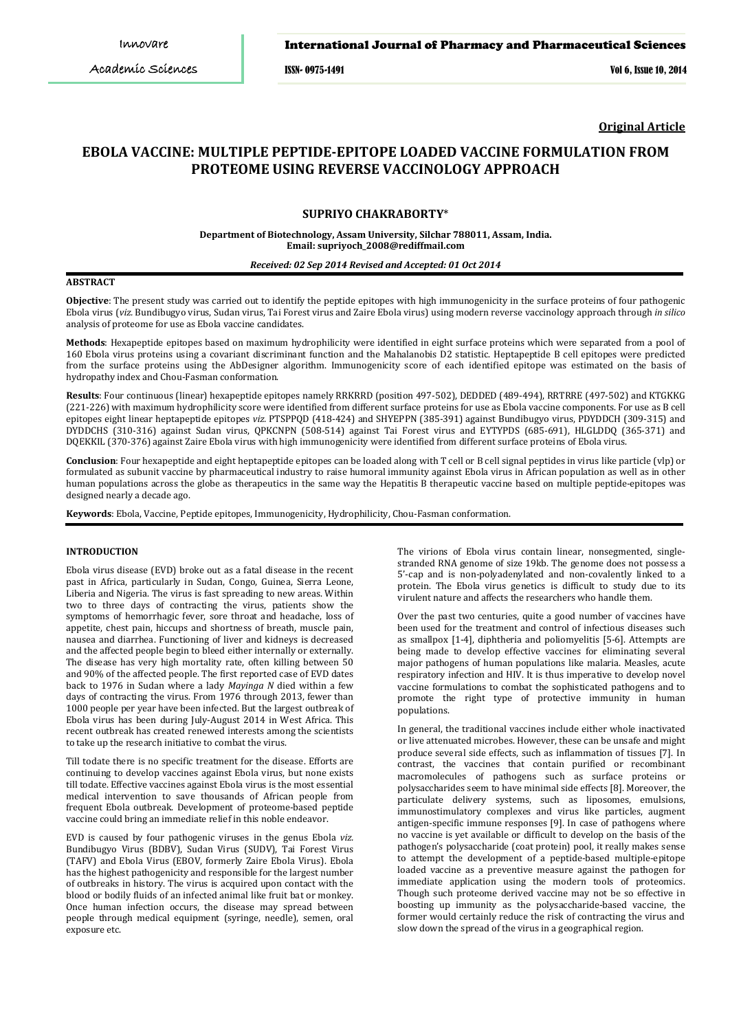ISSN- 0975-1491 Vol 6, Issue 10, 2014

**Original Article**

# **EBOLA VACCINE: MULTIPLE PEPTIDE-EPITOPE LOADED VACCINE FORMULATION FROM PROTEOME USING REVERSE VACCINOLOGY APPROACH**

# **SUPRIYO CHAKRABORTY**\*

#### **Department of Biotechnology, Assam University, Silchar 788011, Assam, India. Email: supriyoch\_2008@rediffmail.com**

#### *Received: 02 Sep 2014 Revised and Accepted: 01 Oct 2014*

# **ABSTRACT**

**Objective**: The present study was carried out to identify the peptide epitopes with high immunogenicity in the surface proteins of four pathogenic Ebola virus (*viz.* Bundibugyo virus, Sudan virus, Tai Forest virus and Zaire Ebola virus) using modern reverse vaccinology approach through *in silico* analysis of proteome for use as Ebola vaccine candidates.

**Methods**: Hexapeptide epitopes based on maximum hydrophilicity were identified in eight surface proteins which were separated from a pool of 160 Ebola virus proteins using a covariant discriminant function and the Mahalanobis D2 statistic. Heptapeptide B cell epitopes were predicted from the surface proteins using the AbDesigner algorithm. Immunogenicity score of each identified epitope was estimated on the basis of hydropathy index and Chou-Fasman conformation.

**Results**: Four continuous (linear) hexapeptide epitopes namely RRKRRD (position 497-502), DEDDED (489-494), RRTRRE (497-502) and KTGKKG (221-226) with maximum hydrophilicity score were identified from different surface proteins for use as Ebola vaccine components. For use as B cell epitopes eight linear heptapeptide epitopes *viz.* PTSPPQD (418-424) and SHYEPPN (385-391) against Bundibugyo virus, PDYDDCH (309-315) and DYDDCHS (310-316) against Sudan virus, QPKCNPN (508-514) against Tai Forest virus and EYTYPDS (685-691), HLGLDDQ (365-371) and DQEKKIL (370-376) against Zaire Ebola virus with high immunogenicity were identified from different surface proteins of Ebola virus.

**Conclusion**: Four hexapeptide and eight heptapeptide epitopes can be loaded along with T cell or B cell signal peptides in virus like particle (vlp) or formulated as subunit vaccine by pharmaceutical industry to raise humoral immunity against Ebola virus in African population as well as in other human populations across the globe as therapeutics in the same way the Hepatitis B therapeutic vaccine based on multiple peptide-epitopes was designed nearly a decade ago.

**Keywords**: Ebola, Vaccine, Peptide epitopes, Immunogenicity, Hydrophilicity, Chou-Fasman conformation.

#### **INTRODUCTION**

Ebola virus disease (EVD) broke out as a fatal disease in the recent past in Africa, particularly in Sudan, Congo, Guinea, Sierra Leone, Liberia and Nigeria. The virus is fast spreading to new areas. Within two to three days of contracting the virus, patients show the symptoms of hemorrhagic fever, sore throat and headache, loss of appetite, chest pain, hiccups and shortness of breath, muscle pain, nausea and diarrhea. Functioning of liver and kidneys is decreased and the affected people begin to bleed either internally or externally. The disease has very high mortality rate, often killing between 50 and 90% of the affected people. The first reported case of EVD dates back to 1976 in Sudan where a lady *Mayinga N* died within a few days of contracting the virus. From 1976 through 2013, fewer than 1000 people per year have been infected. But the largest outbreak of Ebola virus has been during July-August 2014 in West Africa. This recent outbreak has created renewed interests among the scientists to take up the research initiative to combat the virus.

Till todate there is no specific treatment for the disease. Efforts are continuing to develop vaccines against Ebola virus, but none exists till todate. Effective vaccines against Ebola virus is the most essential medical intervention to save thousands of African people from frequent Ebola outbreak. Development of proteome-based peptide vaccine could bring an immediate relief in this noble endeavor.

EVD is caused by four pathogenic viruses in the genus Ebola *viz.* Bundibugyo Virus (BDBV), Sudan Virus (SUDV), Tai Forest Virus (TAFV) and Ebola Virus (EBOV, formerly Zaire Ebola Virus). Ebola has the highest pathogenicity and responsible for the largest number of outbreaks in history. The virus is acquired upon contact with the blood or bodily fluids of an infected animal like fruit bat or monkey. Once human infection occurs, the disease may spread between people through medical equipment (syringe, needle), semen, oral exposure etc.

The virions of Ebola virus contain linear, nonsegmented, singlestranded RNA genome of size 19kb. The genome does not possess a 5'-cap and is non-polyadenylated and non-covalently linked to a protein. The Ebola virus genetics is difficult to study due to its virulent nature and affects the researchers who handle them.

Over the past two centuries, quite a good number of vaccines have been used for the treatment and control of infectious diseases such as smallpox [1-4], diphtheria and poliomyelitis [5-6]. Attempts are being made to develop effective vaccines for eliminating several major pathogens of human populations like malaria. Measles, acute respiratory infection and HIV. It is thus imperative to develop novel vaccine formulations to combat the sophisticated pathogens and to promote the right type of protective immunity in human populations.

In general, the traditional vaccines include either whole inactivated or live attenuated microbes. However, these can be unsafe and might produce several side effects, such as inflammation of tissues [7]. In contrast, the vaccines that contain purified or recombinant macromolecules of pathogens such as surface proteins or polysaccharides seem to have minimal side effects [8]. Moreover, the particulate delivery systems, such as liposomes, emulsions, immunostimulatory complexes and virus like particles, augment antigen-specific immune responses [9]. In case of pathogens where no vaccine is yet available or difficult to develop on the basis of the pathogen's polysaccharide (coat protein) pool, it really makes sense to attempt the development of a peptide-based multiple-epitope loaded vaccine as a preventive measure against the pathogen for immediate application using the modern tools of proteomics. Though such proteome derived vaccine may not be so effective in boosting up immunity as the polysaccharide-based vaccine, the former would certainly reduce the risk of contracting the virus and slow down the spread of the virus in a geographical region.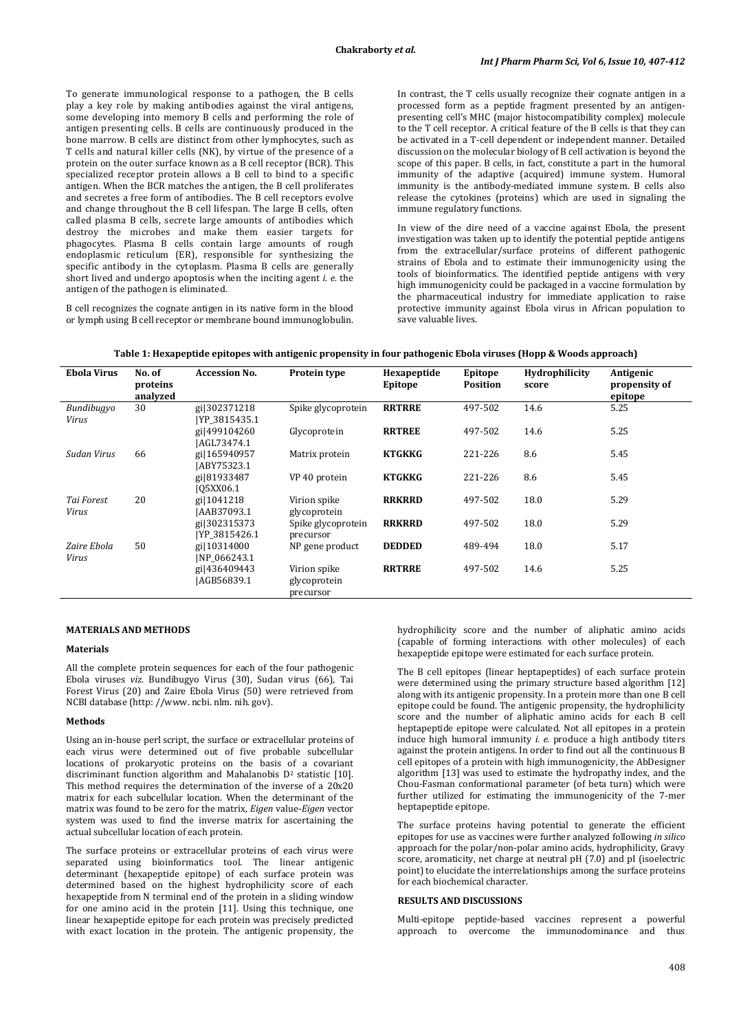To generate immunological response to a pathogen, the B cells play a key role by making antibodies against the viral antigens, some developing into memory B cells and performing the role of antigen presenting cells. B cells are continuously produced in the bone marrow. B cells are distinct from other lymphocytes, such as T cells and natural killer cells (NK), by virtue of the presence of a protein on the outer surface known as a B cell receptor (BCR). This specialized receptor protein allows a B cell to bind to a specific antigen. When the BCR matches the antigen, the B cell proliferates and secretes a free form of antibodies. The B cell receptors evolve and change throughout the B cell lifespan. The large B cells, often called plasma B cells, secrete large amounts of antibodies which destroy the microbes and make them easier targets for phagocytes. Plasma B cells contain large amounts of rough endoplasmic reticulum (ER), responsible for synthesizing the specific antibody in the cytoplasm. Plasma B cells are generally short lived and undergo apoptosis when the inciting agent *i. e.* the antigen of the pathogen is eliminated.

B cell recognizes the cognate antigen in its native form in the blood or lymph using B cell receptor or membrane bound immunoglobulin. In contrast, the T cells usually recognize their cognate antigen in a processed form as a peptide fragment presented by an antigenpresenting cell's MHC (major histocompatibility complex) molecule to the T cell receptor. A critical feature of the B cells is that they can be activated in a T-cell dependent or independent manner. Detailed discussion on the molecular biology of B cell activation is beyond the scope of this paper. B cells, in fact, constitute a part in the humoral immunity of the adaptive (acquired) immune system. Humoral immunity is the antibody-mediated immune system. B cells also release the cytokines (proteins) which are used in signaling the immune regulatory functions.

In view of the dire need of a vaccine against Ebola, the present investigation was taken up to identify the potential peptide antigens from the extracellular/surface proteins of different pathogenic strains of Ebola and to estimate their immunogenicity using the tools of bioinformatics. The identified peptide antigens with very high immunogenicity could be packaged in a vaccine formulation by the pharmaceutical industry for immediate application to raise protective immunity against Ebola virus in African population to save valuable lives.

| <b>Ebola Virus</b>   | No. of<br>proteins<br>analyzed | <b>Accession No.</b>           | Protein type                              | Hexapeptide<br>Epitope | Epitope<br><b>Position</b> | <b>Hydrophilicity</b><br>score | Antigenic<br>propensity of<br>epitope |
|----------------------|--------------------------------|--------------------------------|-------------------------------------------|------------------------|----------------------------|--------------------------------|---------------------------------------|
| Bundibugyo<br>Virus  | 30                             | gi 302371218<br>YP 3815435.1   | Spike glycoprotein                        | <b>RRTRRE</b>          | 497-502                    | 14.6                           | 5.25                                  |
|                      |                                | gi 499104260<br>IAGL73474.1    | Glycoprotein                              | <b>RRTREE</b>          | 497-502                    | 14.6                           | 5.25                                  |
| Sudan Virus          | 66                             | gi 165940957<br>IABY75323.1    | Matrix protein                            | <b>KTGKKG</b>          | 221-226                    | 8.6                            | 5.45                                  |
|                      |                                | gi 81933487<br>105XX06.1       | VP 40 protein                             | <b>KTGKKG</b>          | 221-226                    | 8.6                            | 5.45                                  |
| Tai Forest<br>Virus  | 20                             | gi 1041218<br> AAB37093.1      | Virion spike<br>glycoprotein              | <b>RRKRRD</b>          | 497-502                    | 18.0                           | 5.29                                  |
|                      |                                | gil302315373<br>[YP 3815426.1] | Spike glycoprotein<br>precursor           | <b>RRKRRD</b>          | 497-502                    | 18.0                           | 5.29                                  |
| Zaire Ebola<br>Virus | 50                             | gi 10314000<br>INP 066243.1    | NP gene product                           | <b>DEDDED</b>          | 489-494                    | 18.0                           | 5.17                                  |
|                      |                                | gi 436409443<br>AGB56839.1     | Virion spike<br>glycoprotein<br>precursor | <b>RRTRRE</b>          | 497-502                    | 14.6                           | 5.25                                  |

## **MATERIALS AND METHODS**

#### **Materials**

All the complete protein sequences for each of the four pathogenic Ebola viruses *viz.* Bundibugyo Virus (30), Sudan virus (66), Tai Forest Virus (20) and Zaire Ebola Virus (50) were retrieved from NCBI database (http: //www. ncbi. nlm. nih. gov).

## **Methods**

Using an in-house perl script, the surface or extracellular proteins of each virus were determined out of five probable subcellular locations of prokaryotic proteins on the basis of a covariant discriminant function algorithm and Mahalanobis D<sup>2</sup> statistic [10]. This method requires the determination of the inverse of a 20x20 matrix for each subcellular location. When the determinant of the matrix was found to be zero for the matrix, *Eigen* value-*Eigen* vector system was used to find the inverse matrix for ascertaining the actual subcellular location of each protein.

The surface proteins or extracellular proteins of each virus were separated using bioinformatics tool. The linear antigenic determinant (hexapeptide epitope) of each surface protein was determined based on the highest hydrophilicity score of each hexapeptide from N terminal end of the protein in a sliding window for one amino acid in the protein [11]. Using this technique, one linear hexapeptide epitope for each protein was precisely predicted with exact location in the protein. The antigenic propensity, the hydrophilicity score and the number of aliphatic amino acids (capable of forming interactions with other molecules) of each hexapeptide epitope were estimated for each surface protein.

The B cell epitopes (linear heptapeptides) of each surface protein were determined using the primary structure based algorithm [12] along with its antigenic propensity. In a protein more than one B cell epitope could be found. The antigenic propensity, the hydrophilicity score and the number of aliphatic amino acids for each B cell heptapeptide epitope were calculated. Not all epitopes in a protein induce high humoral immunity *i. e.* produce a high antibody titers against the protein antigens. In order to find out all the continuous B cell epitopes of a protein with high immunogenicity, the AbDesigner algorithm [13] was used to estimate the hydropathy index, and the Chou-Fasman conformational parameter (of beta turn) which were further utilized for estimating the immunogenicity of the 7-mer heptapeptide epitope.

The surface proteins having potential to generate the efficient epitopes for use as vaccines were further analyzed following *in silico* approach for the polar/non-polar amino acids, hydrophilicity, Gravy score, aromaticity, net charge at neutral pH (7.0) and pI (isoelectric point) to elucidate the interrelationships among the surface proteins for each biochemical character.

#### **RESULTS AND DISCUSSIONS**

Multi-epitope peptide-based vaccines represent a powerful approach to overcome the immunodominance and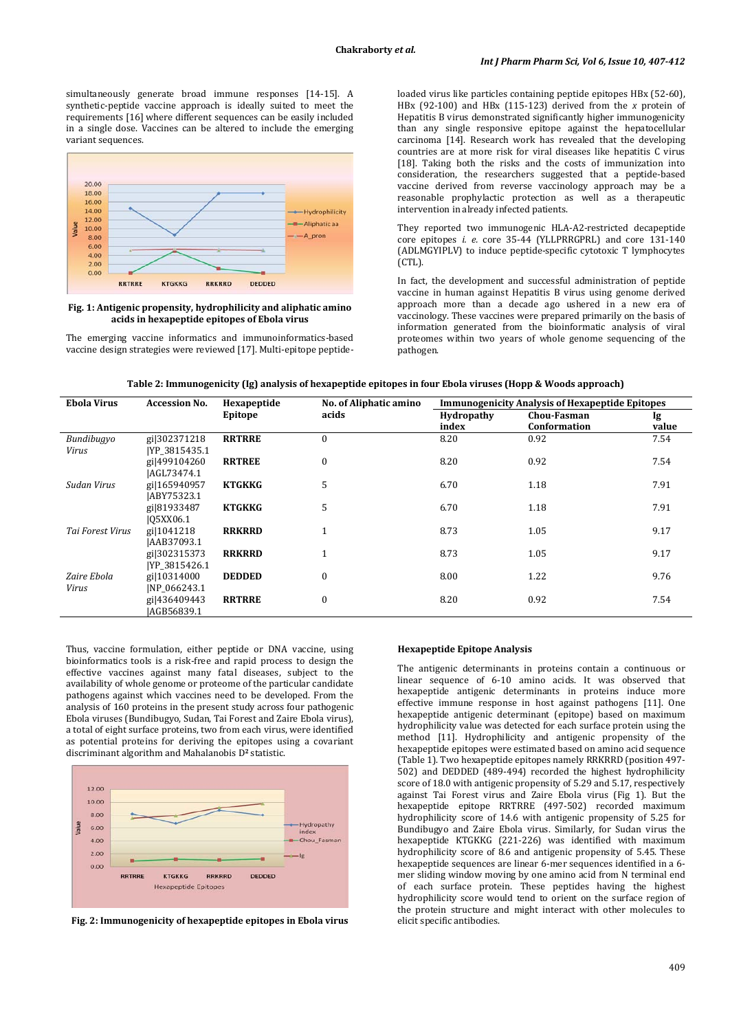simultaneously generate broad immune responses [14-15]. A synthetic-peptide vaccine approach is ideally suited to meet the requirements [16] where different sequences can be easily included in a single dose. Vaccines can be altered to include the emerging variant sequences.



#### **Fig. 1: Antigenic propensity, hydrophilicity and aliphatic amino acids in hexapeptide epitopes of Ebola virus**

The emerging vaccine informatics and immunoinformatics-based vaccine design strategies were reviewed [17]. Multi-epitope peptideloaded virus like particles containing peptide epitopes HBx (52-60), HBx (92-100) and HBx (115-123) derived from the *x* protein of Hepatitis B virus demonstrated significantly higher immunogenicity than any single responsive epitope against the hepatocellular carcinoma [14]. Research work has revealed that the developing countries are at more risk for viral diseases like hepatitis C virus [18]. Taking both the risks and the costs of immunization into consideration, the researchers suggested that a peptide-based vaccine derived from reverse vaccinology approach may be a reasonable prophylactic protection as well as a therapeutic intervention in already infected patients.

They reported two immunogenic HLA-A2-restricted decapeptide core epitopes *i. e.* core 35-44 (YLLPRRGPRL) and core 131-140 (ADLMGYIPLV) to induce peptide-specific cytotoxic T lymphocytes (CTL).

In fact, the development and successful administration of peptide vaccine in human against Hepatitis B virus using genome derived approach more than a decade ago ushered in a new era of vaccinology. These vaccines were prepared primarily on the basis of information generated from the bioinformatic analysis of viral proteomes within two years of whole genome sequencing of the pathogen.

| Table 2: Immunogenicity (Ig) analysis of hexapeptide epitopes in four Ebola viruses (Hopp & Woods approach) |  |  |  |
|-------------------------------------------------------------------------------------------------------------|--|--|--|
|                                                                                                             |  |  |  |

| <b>Ebola Virus</b> | <b>Accession No.</b> | Hexapeptide   | No. of Aliphatic amino | <b>Immunogenicity Analysis of Hexapeptide Epitopes</b> |                    |       |  |
|--------------------|----------------------|---------------|------------------------|--------------------------------------------------------|--------------------|-------|--|
|                    |                      | Epitope       | acids                  | Hydropathy                                             | <b>Chou-Fasman</b> | Ig    |  |
|                    |                      |               |                        | index                                                  | Conformation       | value |  |
| Bundibugyo         | gi 302371218         | <b>RRTRRE</b> | $\theta$               | 8.20                                                   | 0.92               | 7.54  |  |
| Virus              | [YP 3815435.1]       |               |                        |                                                        |                    |       |  |
|                    | gi 499104260         | <b>RRTREE</b> | $\boldsymbol{0}$       | 8.20                                                   | 0.92               | 7.54  |  |
|                    | AGL73474.1           |               |                        |                                                        |                    |       |  |
| Sudan Virus        | gi 165940957         | <b>KTGKKG</b> | 5                      | 6.70                                                   | 1.18               | 7.91  |  |
|                    | ABY75323.1           |               |                        |                                                        |                    |       |  |
|                    | gi 81933487          | <b>KTGKKG</b> | 5                      | 6.70                                                   | 1.18               | 7.91  |  |
|                    | 105XX06.1            |               |                        |                                                        |                    |       |  |
| Tai Forest Virus   | gi 1041218           | <b>RRKRRD</b> |                        | 8.73                                                   | 1.05               | 9.17  |  |
|                    | AAB37093.1           |               |                        |                                                        |                    |       |  |
|                    | gi 302315373         | <b>RRKRRD</b> |                        | 8.73                                                   | 1.05               | 9.17  |  |
|                    | [YP 3815426.1]       |               |                        |                                                        |                    |       |  |
| Zaire Ebola        | gi 10314000          | <b>DEDDED</b> | $\mathbf{0}$           | 8.00                                                   | 1.22               | 9.76  |  |
| Virus              | INP 066243.1         |               |                        |                                                        |                    |       |  |
|                    | gi 436409443         | <b>RRTRRE</b> | $\mathbf{0}$           | 8.20                                                   | 0.92               | 7.54  |  |
|                    | IAGB56839.1          |               |                        |                                                        |                    |       |  |

Thus, vaccine formulation, either peptide or DNA vaccine, using bioinformatics tools is a risk-free and rapid process to design the effective vaccines against many fatal diseases, subject to the availability of whole genome or proteome of the particular candidate pathogens against which vaccines need to be developed. From the analysis of 160 proteins in the present study across four pathogenic Ebola viruses (Bundibugyo, Sudan, Tai Forest and Zaire Ebola virus), a total of eight surface proteins, two from each virus, were identified as potential proteins for deriving the epitopes using a covariant discriminant algorithm and Mahalanobis D**<sup>2</sup>** statistic.



**Fig. 2: Immunogenicity of hexapeptide epitopes in Ebola virus**

## **Hexapeptide Epitope Analysis**

The antigenic determinants in proteins contain a continuous or linear sequence of 6-10 amino acids. It was observed that hexapeptide antigenic determinants in proteins induce more effective immune response in host against pathogens [11]. One hexapeptide antigenic determinant (epitope) based on maximum hydrophilicity value was detected for each surface protein using the method [11]. Hydrophilicity and antigenic propensity of the hexapeptide epitopes were estimated based on amino acid sequence (Table 1). Two hexapeptide epitopes namely RRKRRD (position 497- 502) and DEDDED (489-494) recorded the highest hydrophilicity score of 18.0 with antigenic propensity of 5.29 and 5.17, respectively against Tai Forest virus and Zaire Ebola virus (Fig 1). But the hexapeptide epitope RRTRRE (497-502) recorded maximum hydrophilicity score of 14.6 with antigenic propensity of 5.25 for Bundibugyo and Zaire Ebola virus. Similarly, for Sudan virus the hexapeptide KTGKKG (221-226) was identified with maximum hydrophilicity score of 8.6 and antigenic propensity of 5.45. These hexapeptide sequences are linear 6-mer sequences identified in a 6 mer sliding window moving by one amino acid from N terminal end of each surface protein. These peptides having the highest hydrophilicity score would tend to orient on the surface region of the protein structure and might interact with other molecules to elicit specific antibodies.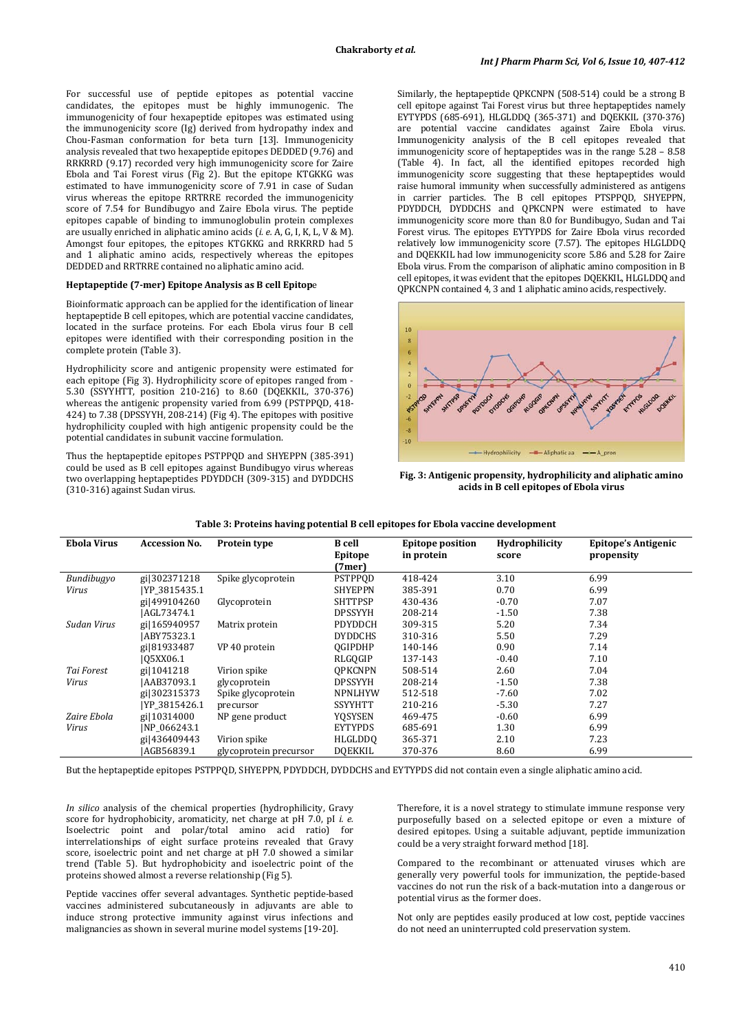For successful use of peptide epitopes as potential vaccine candidates, the epitopes must be highly immunogenic. The immunogenicity of four hexapeptide epitopes was estimated using the immunogenicity score (Ig) derived from hydropathy index and Chou-Fasman conformation for beta turn [13]. Immunogenicity analysis revealed that two hexapeptide epitopes DEDDED (9.76) and RRKRRD (9.17) recorded very high immunogenicity score for Zaire Ebola and Tai Forest virus (Fig 2). But the epitope KTGKKG was estimated to have immunogenicity score of 7.91 in case of Sudan virus whereas the epitope RRTRRE recorded the immunogenicity score of 7.54 for Bundibugyo and Zaire Ebola virus. The peptide epitopes capable of binding to immunoglobulin protein complexes are usually enriched in aliphatic amino acids (*i. e.* A, G, I, K, L, V & M). Amongst four epitopes, the epitopes KTGKKG and RRKRRD had 5 and 1 aliphatic amino acids, respectively whereas the epitopes DEDDED and RRTRRE contained no aliphatic amino acid.

#### **Heptapeptide (7-mer) Epitope Analysis as B cell Epitop**e

Bioinformatic approach can be applied for the identification of linear heptapeptide B cell epitopes, which are potential vaccine candidates, located in the surface proteins. For each Ebola virus four B cell epitopes were identified with their corresponding position in the complete protein (Table 3).

Hydrophilicity score and antigenic propensity were estimated for each epitope (Fig 3). Hydrophilicity score of epitopes ranged from - 5.30 (SSYYHTT, position 210-216) to 8.60 (DQEKKIL, 370-376) whereas the antigenic propensity varied from 6.99 (PSTPPOD, 418-424) to 7.38 (DPSSYYH, 208-214) (Fig 4). The epitopes with positive hydrophilicity coupled with high antigenic propensity could be the potential candidates in subunit vaccine formulation.

Thus the heptapeptide epitopes PSTPPQD and SHYEPPN (385-391) could be used as B cell epitopes against Bundibugyo virus whereas two overlapping heptapeptides PDYDDCH (309-315) and DYDDCHS (310-316) against Sudan virus.

Similarly, the heptapeptide QPKCNPN (508-514) could be a strong B cell epitope against Tai Forest virus but three heptapeptides namely EYTYPDS (685-691), HLGLDDQ (365-371) and DQEKKIL (370-376) are potential vaccine candidates against Zaire Ebola virus. Immunogenicity analysis of the B cell epitopes revealed that immunogenicity score of heptapeptides was in the range 5.28 – 8.58 (Table 4). In fact, all the identified epitopes recorded high immunogenicity score suggesting that these heptapeptides would raise humoral immunity when successfully administered as antigens in carrier particles. The B cell epitopes PTSPPQD, SHYEPPN, PDYDDCH, DYDDCHS and QPKCNPN were estimated to have immunogenicity score more than 8.0 for Bundibugyo, Sudan and Tai Forest virus. The epitopes EYTYPDS for Zaire Ebola virus recorded relatively low immunogenicity score (7.57). The epitopes HLGLDDQ and DQEKKIL had low immunogenicity score 5.86 and 5.28 for Zaire Ebola virus. From the comparison of aliphatic amino composition in B cell epitopes, it was evident that the epitopes DQEKKIL, HLGLDDQ and QPKCNPN contained 4, 3 and 1 aliphatic amino acids, respectively.



**Fig. 3: Antigenic propensity, hydrophilicity and aliphatic amino acids in B cell epitopes of Ebola virus**

| <b>Ebola Virus</b> | <b>Accession No.</b> | Protein type           | <b>B</b> cell<br>Epitope<br>(7mer | <b>Epitope position</b><br>in protein | <b>Hydrophilicity</b><br>score | Epitope's Antigenic<br>propensity |
|--------------------|----------------------|------------------------|-----------------------------------|---------------------------------------|--------------------------------|-----------------------------------|
| Bundibugyo         | gi 302371218         | Spike glycoprotein     | PSTPPOD                           | 418-424                               | 3.10                           | 6.99                              |
| Virus              | YP 3815435.1         |                        | <b>SHYEPPN</b>                    | 385-391                               | 0.70                           | 6.99                              |
|                    | gi 499104260         | Glycoprotein           | <b>SHTTPSP</b>                    | 430-436                               | $-0.70$                        | 7.07                              |
|                    | AGL73474.1           |                        | <b>DPSSYYH</b>                    | 208-214                               | $-1.50$                        | 7.38                              |
| Sudan Virus        | gi 165940957         | Matrix protein         | <b>PDYDDCH</b>                    | 309-315                               | 5.20                           | 7.34                              |
|                    | ABY75323.1           |                        | <b>DYDDCHS</b>                    | 310-316                               | 5.50                           | 7.29                              |
|                    | gi 81933487          | VP 40 protein          | <b>OGIPDHP</b>                    | 140-146                               | 0.90                           | 7.14                              |
|                    | 105XX06.1            |                        | RLGOGIP                           | 137-143                               | $-0.40$                        | 7.10                              |
| Tai Forest         | gi 1041218           | Virion spike           | <b>OPKCNPN</b>                    | 508-514                               | 2.60                           | 7.04                              |
| Virus              | AAB37093.1           | glycoprotein           | <b>DPSSYYH</b>                    | 208-214                               | $-1.50$                        | 7.38                              |
|                    | gi 302315373         | Spike glycoprotein     | <b>NPNLHYW</b>                    | 512-518                               | $-7.60$                        | 7.02                              |
|                    | [YP 3815426.1]       | precursor              | <b>SSYYHTT</b>                    | 210-216                               | $-5.30$                        | 7.27                              |
| Zaire Ebola        | gi 10314000          | NP gene product        | YOSYSEN                           | 469-475                               | $-0.60$                        | 6.99                              |
| Virus              | INP 066243.1         |                        | <b>EYTYPDS</b>                    | 685-691                               | 1.30                           | 6.99                              |
|                    | gi 436409443         | Virion spike           | HLGLDDO                           | 365-371                               | 2.10                           | 7.23                              |
|                    | AGB56839.1           | glycoprotein precursor | <b>DOEKKIL</b>                    | 370-376                               | 8.60                           | 6.99                              |

| Table 3: Proteins having potential B cell epitopes for Ebola vaccine development |  |  |
|----------------------------------------------------------------------------------|--|--|
|                                                                                  |  |  |

But the heptapeptide epitopes PSTPPQD, SHYEPPN, PDYDDCH, DYDDCHS and EYTYPDS did not contain even a single aliphatic amino acid.

*In silico* analysis of the chemical properties (hydrophilicity, Gravy score for hydrophobicity, aromaticity, net charge at pH 7.0, pI *i. e.* Isoelectric point and polar/total amino acid ratio) for interrelationships of eight surface proteins revealed that Gravy score, isoelectric point and net charge at pH 7.0 showed a similar trend (Table 5). But hydrophobicity and isoelectric point of the proteins showed almost a reverse relationship (Fig 5).

Peptide vaccines offer several advantages. Synthetic peptide-based vaccines administered subcutaneously in adjuvants are able to induce strong protective immunity against virus infections and malignancies as shown in several murine model systems [19-20].

Therefore, it is a novel strategy to stimulate immune response very purposefully based on a selected epitope or even a mixture of desired epitopes. Using a suitable adjuvant, peptide immunization could be a very straight forward method [18].

Compared to the recombinant or attenuated viruses which are generally very powerful tools for immunization, the peptide-based vaccines do not run the risk of a back-mutation into a dangerous or potential virus as the former does.

Not only are peptides easily produced at low cost, peptide vaccines do not need an uninterrupted cold preservation system.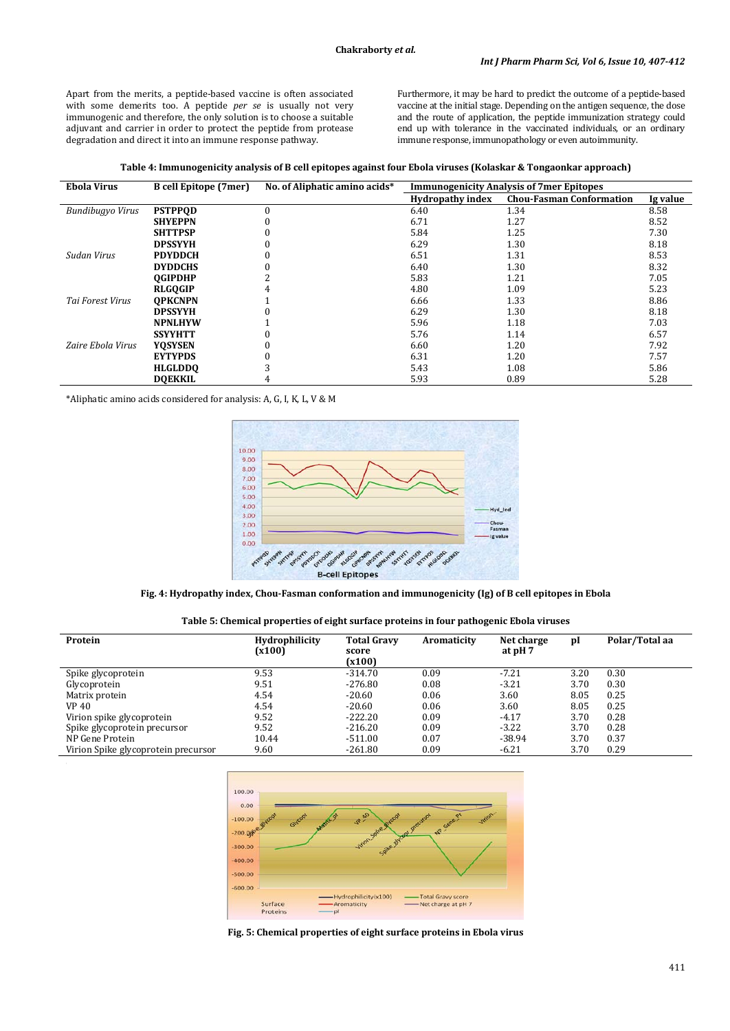Apart from the merits, a peptide-based vaccine is often associated with some demerits too. A peptide *per se* is usually not very immunogenic and therefore, the only solution is to choose a suitable adjuvant and carrier in order to protect the peptide from protease degradation and direct it into an immune response pathway.

Furthermore, it may be hard to predict the outcome of a peptide-based vaccine at the initial stage. Depending on the antigen sequence, the dose and the route of application, the peptide immunization strategy could end up with tolerance in the vaccinated individuals, or an ordinary immune response, immunopathology or even autoimmunity.

**Table 4: Immunogenicity analysis of B cell epitopes against four Ebola viruses (Kolaskar & Tongaonkar approach)**

| <b>Ebola Virus</b> | <b>B</b> cell Epitope (7mer) | No. of Aliphatic amino acids* | <b>Immunogenicity Analysis of 7mer Epitopes</b> |                                 |          |
|--------------------|------------------------------|-------------------------------|-------------------------------------------------|---------------------------------|----------|
|                    |                              |                               | <b>Hydropathy index</b>                         | <b>Chou-Fasman Conformation</b> | Ig value |
| Bundibugyo Virus   | <b>PSTPPOD</b>               | $\Omega$                      | 6.40                                            | 1.34                            | 8.58     |
|                    | <b>SHYEPPN</b>               |                               | 6.71                                            | 1.27                            | 8.52     |
|                    | <b>SHTTPSP</b>               |                               | 5.84                                            | 1.25                            | 7.30     |
|                    | <b>DPSSYYH</b>               |                               | 6.29                                            | 1.30                            | 8.18     |
| Sudan Virus        | <b>PDYDDCH</b>               |                               | 6.51                                            | 1.31                            | 8.53     |
|                    | <b>DYDDCHS</b>               |                               | 6.40                                            | 1.30                            | 8.32     |
|                    | <b>OGIPDHP</b>               |                               | 5.83                                            | 1.21                            | 7.05     |
|                    | <b>RLGOGIP</b>               | 4                             | 4.80                                            | 1.09                            | 5.23     |
| Tai Forest Virus   | <b>OPKCNPN</b>               |                               | 6.66                                            | 1.33                            | 8.86     |
|                    | <b>DPSSYYH</b>               |                               | 6.29                                            | 1.30                            | 8.18     |
|                    | <b>NPNLHYW</b>               |                               | 5.96                                            | 1.18                            | 7.03     |
|                    | <b>SSYYHTT</b>               |                               | 5.76                                            | 1.14                            | 6.57     |
| Zaire Ebola Virus  | <b>YOSYSEN</b>               |                               | 6.60                                            | 1.20                            | 7.92     |
|                    | <b>EYTYPDS</b>               |                               | 6.31                                            | 1.20                            | 7.57     |
|                    | <b>HLGLDDO</b>               |                               | 5.43                                            | 1.08                            | 5.86     |
|                    | <b>DOEKKIL</b>               | 4                             | 5.93                                            | 0.89                            | 5.28     |

\*Aliphatic amino acids considered for analysis: A, G, I, K, L, V & M



**Fig. 4: Hydropathy index, Chou-Fasman conformation and immunogenicity (Ig) of B cell epitopes in Ebola**

|  |  | Table 5: Chemical properties of eight surface proteins in four pathogenic Ebola viruses |
|--|--|-----------------------------------------------------------------------------------------|
|--|--|-----------------------------------------------------------------------------------------|

| Protein                             | <b>Hydrophilicity</b><br>(x100) | <b>Total Gravy</b><br>score<br>(x100) | Aromaticity | Net charge<br>at pH 7 | pI   | Polar/Total aa |
|-------------------------------------|---------------------------------|---------------------------------------|-------------|-----------------------|------|----------------|
| Spike glycoprotein                  | 9.53                            | $-314.70$                             | 0.09        | $-7.21$               | 3.20 | 0.30           |
| Glycoprotein                        | 9.51                            | $-276.80$                             | 0.08        | $-3.21$               | 3.70 | 0.30           |
| Matrix protein                      | 4.54                            | $-20.60$                              | 0.06        | 3.60                  | 8.05 | 0.25           |
| VP 40                               | 4.54                            | $-20.60$                              | 0.06        | 3.60                  | 8.05 | 0.25           |
| Virion spike glycoprotein           | 9.52                            | $-222.20$                             | 0.09        | $-4.17$               | 3.70 | 0.28           |
| Spike glycoprotein precursor        | 9.52                            | $-216.20$                             | 0.09        | $-3.22$               | 3.70 | 0.28           |
| NP Gene Protein                     | 10.44                           | $-511.00$                             | 0.07        | $-38.94$              | 3.70 | 0.37           |
| Virion Spike glycoprotein precursor | 9.60                            | $-261.80$                             | 0.09        | $-6.21$               | 3.70 | 0.29           |



**Fig. 5: Chemical properties of eight surface proteins in Ebola virus**